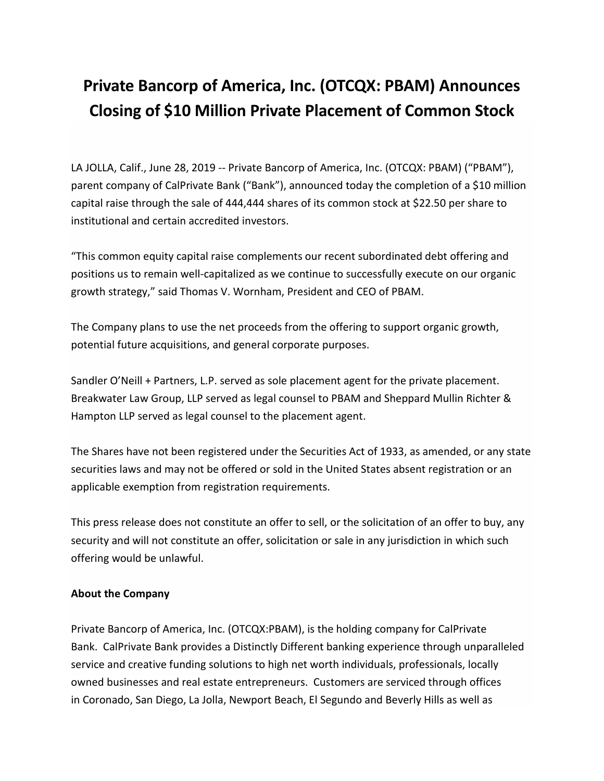## **Private Bancorp of America, Inc. (OTCQX: PBAM) Announces Closing of \$10 Million Private Placement of Common Stock**

LA JOLLA, Calif., June 28, 2019 -- Private Bancorp of America, Inc. (OTCQX: PBAM) ("PBAM"), parent company of CalPrivate Bank ("Bank"), announced today the completion of a \$10 million capital raise through the sale of 444,444 shares of its common stock at \$22.50 per share to institutional and certain accredited investors.

"This common equity capital raise complements our recent subordinated debt offering and positions us to remain well-capitalized as we continue to successfully execute on our organic growth strategy," said Thomas V. Wornham, President and CEO of PBAM.

The Company plans to use the net proceeds from the offering to support organic growth, potential future acquisitions, and general corporate purposes.

Sandler O'Neill + Partners, L.P. served as sole placement agent for the private placement. Breakwater Law Group, LLP served as legal counsel to PBAM and Sheppard Mullin Richter & Hampton LLP served as legal counsel to the placement agent.

The Shares have not been registered under the Securities Act of 1933, as amended, or any state securities laws and may not be offered or sold in the United States absent registration or an applicable exemption from registration requirements.

This press release does not constitute an offer to sell, or the solicitation of an offer to buy, any security and will not constitute an offer, solicitation or sale in any jurisdiction in which such offering would be unlawful.

## **About the Company**

Private Bancorp of America, Inc. (OTCQX:PBAM), is the holding company for CalPrivate Bank. CalPrivate Bank provides a Distinctly Different banking experience through unparalleled service and creative funding solutions to high net worth individuals, professionals, locally owned businesses and real estate entrepreneurs. Customers are serviced through offices in Coronado, San Diego, La Jolla, Newport Beach, El Segundo and Beverly Hills as well as